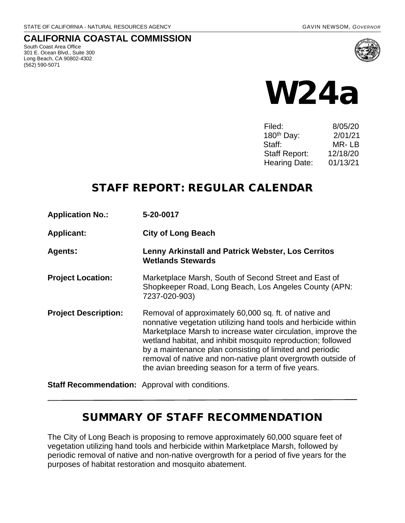## **CALIFORNIA COASTAL COMMISSION**

South Coast Area Office 301 E. Ocean Blvd., Suite 300 Long Beach, CA 90802-4302 (562) 590-5071



# W24a

| Filed:                 | 8/05/20  |
|------------------------|----------|
| 180 <sup>th</sup> Day: | 2/01/21  |
| Staff:                 | MR-LB    |
| <b>Staff Report:</b>   | 12/18/20 |
| <b>Hearing Date:</b>   | 01/13/21 |

# STAFF REPORT: REGULAR CALENDAR

**Application No.: 5-20-0017**

**Applicant: City of Long Beach** 

**Agents: Lenny Arkinstall and Patrick Webster, Los Cerritos Wetlands Stewards**

- **Project Location:** Marketplace Marsh, South of Second Street and East of Shopkeeper Road, Long Beach, Los Angeles County (APN: 7237-020-903)
- **Project Description:** Removal of approximately 60,000 sq. ft. of native and nonnative vegetation utilizing hand tools and herbicide within Marketplace Marsh to increase water circulation, improve the wetland habitat, and inhibit mosquito reproduction; followed by a maintenance plan consisting of limited and periodic removal of native and non-native plant overgrowth outside of the avian breeding season for a term of five years.

**Staff Recommendation:** Approval with conditions.

# SUMMARY OF STAFF RECOMMENDATION

The City of Long Beach is proposing to remove approximately 60,000 square feet of vegetation utilizing hand tools and herbicide within Marketplace Marsh, followed by periodic removal of native and non-native overgrowth for a period of five years for the purposes of habitat restoration and mosquito abatement.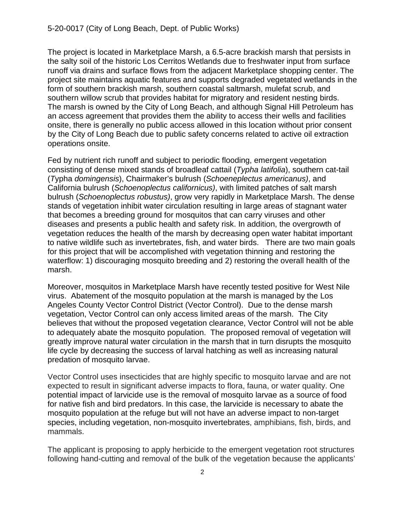The project is located in Marketplace Marsh, a 6.5-acre brackish marsh that persists in the salty soil of the historic Los Cerritos Wetlands due to freshwater input from surface runoff via drains and surface flows from the adjacent Marketplace shopping center. The project site maintains aquatic features and supports degraded vegetated wetlands in the form of southern brackish marsh, southern coastal saltmarsh, mulefat scrub, and southern willow scrub that provides habitat for migratory and resident nesting birds. The marsh is owned by the City of Long Beach, and although Signal Hill Petroleum has an access agreement that provides them the ability to access their wells and facilities onsite, there is generally no public access allowed in this location without prior consent by the City of Long Beach due to public safety concerns related to active oil extraction operations onsite.

Fed by nutrient rich runoff and subject to periodic flooding, emergent vegetation consisting of dense mixed stands of broadleaf cattail (*Typha latifolia*), southern cat-tail (*T*ypha *domingensis*), Chairmaker's bulrush (*Schoeneplectus americanus)*, and California bulrush (*Schoenoplectus californicus)*, with limited patches of salt marsh bulrush (*Schoenoplectus robustus)*, grow very rapidly in Marketplace Marsh. The dense stands of vegetation inhibit water circulation resulting in large areas of stagnant water that becomes a breeding ground for mosquitos that can carry viruses and other diseases and presents a public health and safety risk. In addition, the overgrowth of vegetation reduces the health of the marsh by decreasing open water habitat important to native wildlife such as invertebrates, fish, and water birds. There are two main goals for this project that will be accomplished with vegetation thinning and restoring the waterflow: 1) discouraging mosquito breeding and 2) restoring the overall health of the marsh.

Moreover, mosquitos in Marketplace Marsh have recently tested positive for West Nile virus. Abatement of the mosquito population at the marsh is managed by the Los Angeles County Vector Control District (Vector Control). Due to the dense marsh vegetation, Vector Control can only access limited areas of the marsh. The City believes that without the proposed vegetation clearance, Vector Control will not be able to adequately abate the mosquito population. The proposed removal of vegetation will greatly improve natural water circulation in the marsh that in turn disrupts the mosquito life cycle by decreasing the success of larval hatching as well as increasing natural predation of mosquito larvae.

Vector Control uses insecticides that are highly specific to mosquito larvae and are not expected to result in significant adverse impacts to flora, fauna, or water quality. One potential impact of larvicide use is the removal of mosquito larvae as a source of food for native fish and bird predators. In this case, the larvicide is necessary to abate the mosquito population at the refuge but will not have an adverse impact to non-target species, including vegetation, non-mosquito invertebrates, amphibians, fish, birds, and mammals.

The applicant is proposing to apply herbicide to the emergent vegetation root structures following hand-cutting and removal of the bulk of the vegetation because the applicants'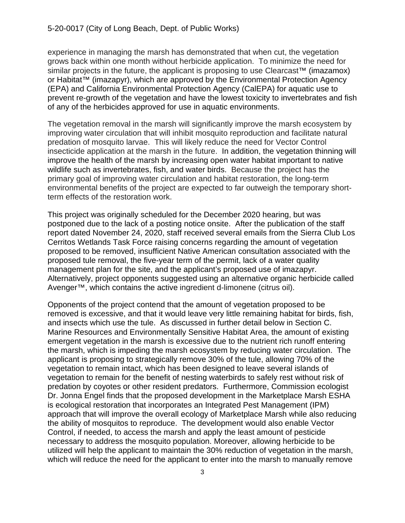experience in managing the marsh has demonstrated that when cut, the vegetation grows back within one month without herbicide application. To minimize the need for similar projects in the future, the applicant is proposing to use Clearcast<sup>™</sup> (imazamox) or Habitat™ (imazapyr), which are approved by the Environmental Protection Agency (EPA) and California Environmental Protection Agency (CalEPA) for aquatic use to prevent re-growth of the vegetation and have the lowest toxicity to invertebrates and fish of any of the herbicides approved for use in aquatic environments.

The vegetation removal in the marsh will significantly improve the marsh ecosystem by improving water circulation that will inhibit mosquito reproduction and facilitate natural predation of mosquito larvae. This will likely reduce the need for Vector Control insecticide application at the marsh in the future. In addition, the vegetation thinning will improve the health of the marsh by increasing open water habitat important to native wildlife such as invertebrates, fish, and water birds. Because the project has the primary goal of improving water circulation and habitat restoration, the long-term environmental benefits of the project are expected to far outweigh the temporary shortterm effects of the restoration work.

This project was originally scheduled for the December 2020 hearing, but was postponed due to the lack of a posting notice onsite. After the publication of the staff report dated November 24, 2020, staff received several emails from the Sierra Club Los Cerritos Wetlands Task Force raising concerns regarding the amount of vegetation proposed to be removed, insufficient Native American consultation associated with the proposed tule removal, the five-year term of the permit, lack of a water quality management plan for the site, and the applicant's proposed use of imazapyr. Alternatively, project opponents suggested using an alternative organic herbicide called Avenger™, which contains the active ingredient d-limonene (citrus oil).

Opponents of the project contend that the amount of vegetation proposed to be removed is excessive, and that it would leave very little remaining habitat for birds, fish, and insects which use the tule. As discussed in further detail below in Section C. Marine Resources and Environmentally Sensitive Habitat Area, the amount of existing emergent vegetation in the marsh is excessive due to the nutrient rich runoff entering the marsh, which is impeding the marsh ecosystem by reducing water circulation. The applicant is proposing to strategically remove 30% of the tule, allowing 70% of the vegetation to remain intact, which has been designed to leave several islands of vegetation to remain for the benefit of nesting waterbirds to safely rest without risk of predation by coyotes or other resident predators. Furthermore, Commission ecologist Dr. Jonna Engel finds that the proposed development in the Marketplace Marsh ESHA is ecological restoration that incorporates an Integrated Pest Management (IPM) approach that will improve the overall ecology of Marketplace Marsh while also reducing the ability of mosquitos to reproduce. The development would also enable Vector Control, if needed, to access the marsh and apply the least amount of pesticide necessary to address the mosquito population. Moreover, allowing herbicide to be utilized will help the applicant to maintain the 30% reduction of vegetation in the marsh, which will reduce the need for the applicant to enter into the marsh to manually remove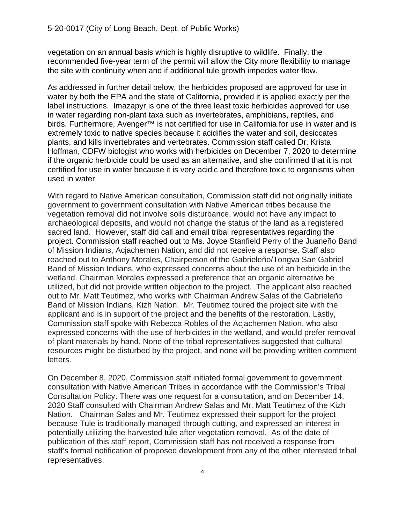vegetation on an annual basis which is highly disruptive to wildlife. Finally, the recommended five-year term of the permit will allow the City more flexibility to manage the site with continuity when and if additional tule growth impedes water flow.

As addressed in further detail below, the herbicides proposed are approved for use in water by both the EPA and the state of California, provided it is applied exactly per the label instructions. Imazapyr is one of the three least toxic herbicides approved for use in water regarding non-plant taxa such as invertebrates, amphibians, reptiles, and birds. Furthermore, Avenger<sup>™</sup> is not certified for use in California for use in water and is extremely toxic to native species because it acidifies the water and soil, desiccates plants, and kills invertebrates and vertebrates. Commission staff called Dr. Krista Hoffman, CDFW biologist who works with herbicides on December 7, 2020 to determine if the organic herbicide could be used as an alternative, and she confirmed that it is not certified for use in water because it is very acidic and therefore toxic to organisms when used in water.

With regard to Native American consultation, Commission staff did not originally initiate government to government consultation with Native American tribes because the vegetation removal did not involve soils disturbance, would not have any impact to archaeological deposits, and would not change the status of the land as a registered sacred land. However, staff did call and email tribal representatives regarding the project. Commission staff reached out to Ms. Joyce Stanfield Perry of the Juaneño Band of Mission Indians, Acjachemen Nation, and did not receive a response. Staff also reached out to Anthony Morales, Chairperson of the Gabrieleño/Tongva San Gabriel Band of Mission Indians, who expressed concerns about the use of an herbicide in the wetland. Chairman Morales expressed a preference that an organic alternative be utilized, but did not provide written objection to the project. The applicant also reached out to Mr. Matt Teutimez, who works with Chairman Andrew Salas of the Gabrieleño Band of Mission Indians, Kizh Nation. Mr. Teutimez toured the project site with the applicant and is in support of the project and the benefits of the restoration. Lastly, Commission staff spoke with Rebecca Robles of the Acjachemen Nation, who also expressed concerns with the use of herbicides in the wetland, and would prefer removal of plant materials by hand. None of the tribal representatives suggested that cultural resources might be disturbed by the project, and none will be providing written comment letters.

On December 8, 2020, Commission staff initiated formal government to government consultation with Native American Tribes in accordance with the Commission's Tribal Consultation Policy. There was one request for a consultation, and on December 14, 2020 Staff consulted with Chairman Andrew Salas and Mr. Matt Teutimez of the Kizh Nation. Chairman Salas and Mr. Teutimez expressed their support for the project because Tule is traditionally managed through cutting, and expressed an interest in potentially utilizing the harvested tule after vegetation removal. As of the date of publication of this staff report, Commission staff has not received a response from staff's formal notification of proposed development from any of the other interested tribal representatives.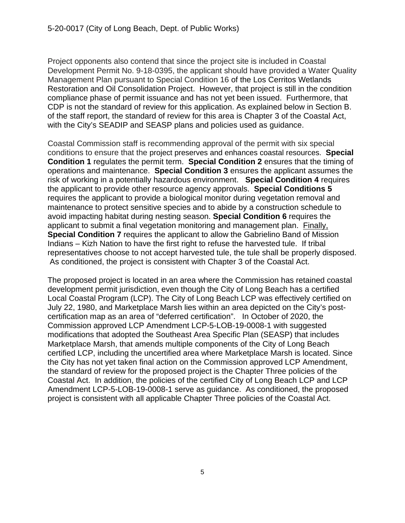Project opponents also contend that since the project site is included in Coastal Development Permit No. 9-18-0395, the applicant should have provided a Water Quality Management Plan pursuant to Special Condition 16 of the Los Cerritos Wetlands Restoration and Oil Consolidation Project. However, that project is still in the condition compliance phase of permit issuance and has not yet been issued. Furthermore, that CDP is not the standard of review for this application. As explained below in Section B. of the staff report, the standard of review for this area is Chapter 3 of the Coastal Act, with the City's SEADIP and SEASP plans and policies used as guidance.

Coastal Commission staff is recommending approval of the permit with six special conditions to ensure that the project preserves and enhances coastal resources. **Special Condition 1** regulates the permit term. **Special Condition 2** ensures that the timing of operations and maintenance. **Special Condition 3** ensures the applicant assumes the risk of working in a potentially hazardous environment. **Special Condition 4** requires the applicant to provide other resource agency approvals. **Special Conditions 5**  requires the applicant to provide a biological monitor during vegetation removal and maintenance to protect sensitive species and to abide by a construction schedule to avoid impacting habitat during nesting season. **Special Condition 6** requires the applicant to submit a final vegetation monitoring and management plan. Finally, **Special Condition 7** requires the applicant to allow the Gabrielino Band of Mission Indians – Kizh Nation to have the first right to refuse the harvested tule. If tribal representatives choose to not accept harvested tule, the tule shall be properly disposed. As conditioned, the project is consistent with Chapter 3 of the Coastal Act.

The proposed project is located in an area where the Commission has retained coastal development permit jurisdiction, even though the City of Long Beach has a certified Local Coastal Program (LCP). The City of Long Beach LCP was effectively certified on July 22, 1980, and Marketplace Marsh lies within an area depicted on the City's postcertification map as an area of "deferred certification". In October of 2020, the Commission approved LCP Amendment LCP-5-LOB-19-0008-1 with suggested modifications that adopted the Southeast Area Specific Plan (SEASP) that includes Marketplace Marsh, that amends multiple components of the City of Long Beach certified LCP, including the uncertified area where Marketplace Marsh is located. Since the City has not yet taken final action on the Commission approved LCP Amendment, the standard of review for the proposed project is the Chapter Three policies of the Coastal Act. In addition, the policies of the certified City of Long Beach LCP and LCP Amendment LCP-5-LOB-19-0008-1 serve as guidance. As conditioned, the proposed project is consistent with all applicable Chapter Three policies of the Coastal Act.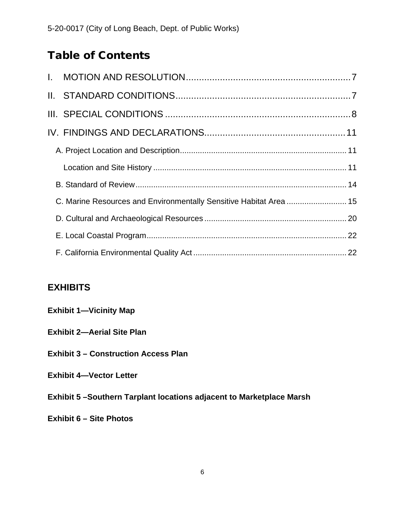# Table of Contents

| C. Marine Resources and Environmentally Sensitive Habitat Area  15 |  |
|--------------------------------------------------------------------|--|
|                                                                    |  |
|                                                                    |  |
|                                                                    |  |

# **EXHIBITS**

| <b>Exhibit 1-Vicinity Map</b>                                         |
|-----------------------------------------------------------------------|
| <b>Exhibit 2-Aerial Site Plan</b>                                     |
| <b>Exhibit 3 – Construction Access Plan</b>                           |
| <b>Exhibit 4-Vector Letter</b>                                        |
| Exhibit 5 – Southern Tarplant locations adjacent to Marketplace Marsh |
| <b>Exhibit 6 – Site Photos</b>                                        |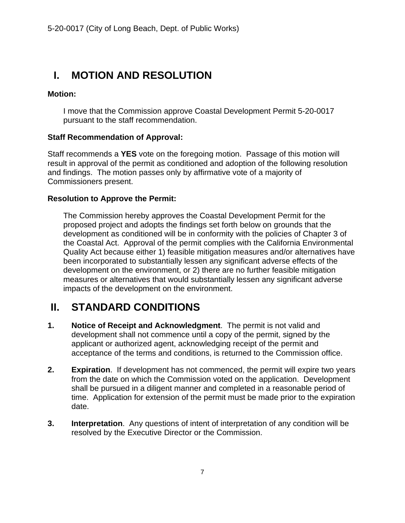# <span id="page-6-0"></span>**I. MOTION AND RESOLUTION**

## **Motion:**

I move that the Commission approve Coastal Development Permit 5-20-0017 pursuant to the staff recommendation.

## **Staff Recommendation of Approval:**

Staff recommends a **YES** vote on the foregoing motion. Passage of this motion will result in approval of the permit as conditioned and adoption of the following resolution and findings. The motion passes only by affirmative vote of a majority of Commissioners present.

#### **Resolution to Approve the Permit:**

The Commission hereby approves the Coastal Development Permit for the proposed project and adopts the findings set forth below on grounds that the development as conditioned will be in conformity with the policies of Chapter 3 of the Coastal Act. Approval of the permit complies with the California Environmental Quality Act because either 1) feasible mitigation measures and/or alternatives have been incorporated to substantially lessen any significant adverse effects of the development on the environment, or 2) there are no further feasible mitigation measures or alternatives that would substantially lessen any significant adverse impacts of the development on the environment.

# <span id="page-6-1"></span>**II. STANDARD CONDITIONS**

- **1. Notice of Receipt and Acknowledgment**. The permit is not valid and development shall not commence until a copy of the permit, signed by the applicant or authorized agent, acknowledging receipt of the permit and acceptance of the terms and conditions, is returned to the Commission office.
- **2. Expiration**. If development has not commenced, the permit will expire two years from the date on which the Commission voted on the application. Development shall be pursued in a diligent manner and completed in a reasonable period of time. Application for extension of the permit must be made prior to the expiration date.
- **3. Interpretation**. Any questions of intent of interpretation of any condition will be resolved by the Executive Director or the Commission.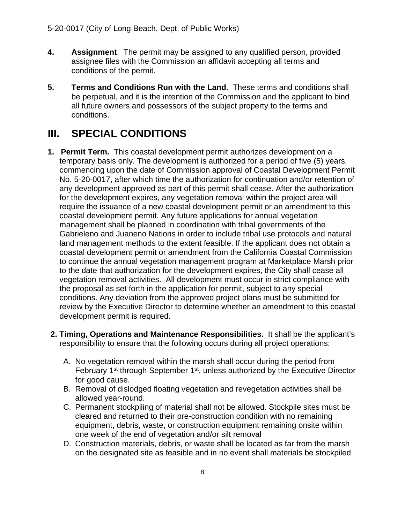- **4. Assignment**. The permit may be assigned to any qualified person, provided assignee files with the Commission an affidavit accepting all terms and conditions of the permit.
- **5. Terms and Conditions Run with the Land**. These terms and conditions shall be perpetual, and it is the intention of the Commission and the applicant to bind all future owners and possessors of the subject property to the terms and conditions.

# <span id="page-7-0"></span>**III. SPECIAL CONDITIONS**

- **1. Permit Term.** This coastal development permit authorizes development on a temporary basis only. The development is authorized for a period of five (5) years, commencing upon the date of Commission approval of Coastal Development Permit No. 5-20-0017, after which time the authorization for continuation and/or retention of any development approved as part of this permit shall cease. After the authorization for the development expires, any vegetation removal within the project area will require the issuance of a new coastal development permit or an amendment to this coastal development permit. Any future applications for annual vegetation management shall be planned in coordination with tribal governments of the Gabrieleno and Juaneno Nations in order to include tribal use protocols and natural land management methods to the extent feasible. If the applicant does not obtain a coastal development permit or amendment from the California Coastal Commission to continue the annual vegetation management program at Marketplace Marsh prior to the date that authorization for the development expires, the City shall cease all vegetation removal activities. All development must occur in strict compliance with the proposal as set forth in the application for permit, subject to any special conditions. Any deviation from the approved project plans must be submitted for review by the Executive Director to determine whether an amendment to this coastal development permit is required.
- **2. Timing, Operations and Maintenance Responsibilities.** It shall be the applicant's responsibility to ensure that the following occurs during all project operations:
	- A. No vegetation removal within the marsh shall occur during the period from February 1<sup>st</sup> through September 1<sup>st</sup>, unless authorized by the Executive Director for good cause.
	- B. Removal of dislodged floating vegetation and revegetation activities shall be allowed year-round.
	- C. Permanent stockpiling of material shall not be allowed. Stockpile sites must be cleared and returned to their pre-construction condition with no remaining equipment, debris, waste, or construction equipment remaining onsite within one week of the end of vegetation and/or silt removal
	- D. Construction materials, debris, or waste shall be located as far from the marsh on the designated site as feasible and in no event shall materials be stockpiled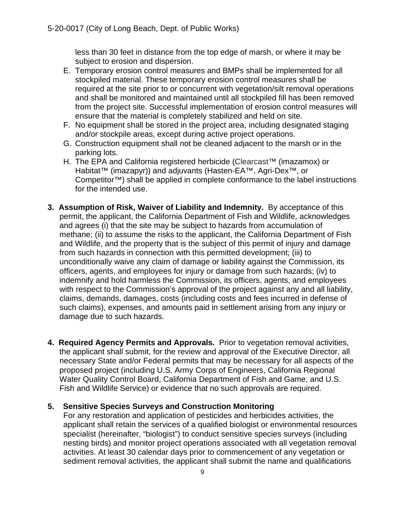less than 30 feet in distance from the top edge of marsh, or where it may be subject to erosion and dispersion.

- E. Temporary erosion control measures and BMPs shall be implemented for all stockpiled material. These temporary erosion control measures shall be required at the site prior to or concurrent with vegetation/silt removal operations and shall be monitored and maintained until all stockpiled fill has been removed from the project site. Successful implementation of erosion control measures will ensure that the material is completely stabilized and held on site.
- F. No equipment shall be stored in the project area, including designated staging and/or stockpile areas, except during active project operations.
- G. Construction equipment shall not be cleaned adjacent to the marsh or in the parking lots.
- H. The EPA and California registered herbicide (Clearcast™ (imazamox) or Habitat™ (imazapyr)) and adjuvants (Hasten-EA™, Agri-Dex™, or Competitor™) shall be applied in complete conformance to the label instructions for the intended use.
- **3. Assumption of Risk, Waiver of Liability and Indemnity.** By acceptance of this permit, the applicant, the California Department of Fish and Wildlife, acknowledges and agrees (i) that the site may be subject to hazards from accumulation of methane; (ii) to assume the risks to the applicant, the California Department of Fish and Wildlife, and the property that is the subject of this permit of injury and damage from such hazards in connection with this permitted development; (iii) to unconditionally waive any claim of damage or liability against the Commission, its officers, agents, and employees for injury or damage from such hazards; (iv) to indemnify and hold harmless the Commission, its officers, agents, and employees with respect to the Commission's approval of the project against any and all liability, claims, demands, damages, costs (including costs and fees incurred in defense of such claims), expenses, and amounts paid in settlement arising from any injury or damage due to such hazards.
- **4. Required Agency Permits and Approvals.** Prior to vegetation removal activities, the applicant shall submit, for the review and approval of the Executive Director, all necessary State and/or Federal permits that may be necessary for all aspects of the proposed project (including U.S. Army Corps of Engineers, California Regional Water Quality Control Board, California Department of Fish and Game, and U.S. Fish and Wildlife Service) or evidence that no such approvals are required.

#### **5. Sensitive Species Surveys and Construction Monitoring**

For any restoration and application of pesticides and herbicides activities, the applicant shall retain the services of a qualified biologist or environmental resources specialist (hereinafter, "biologist") to conduct sensitive species surveys (including nesting birds) and monitor project operations associated with all vegetation removal activities. At least 30 calendar days prior to commencement of any vegetation or sediment removal activities, the applicant shall submit the name and qualifications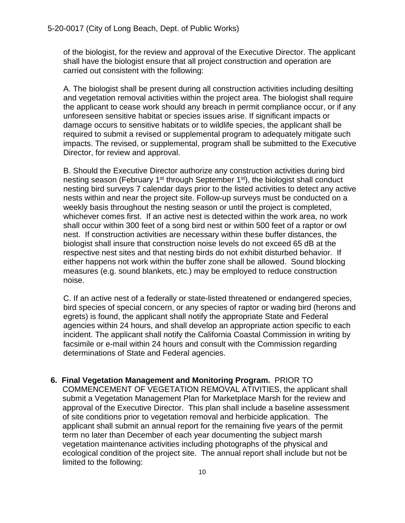of the biologist, for the review and approval of the Executive Director. The applicant shall have the biologist ensure that all project construction and operation are carried out consistent with the following:

A. The biologist shall be present during all construction activities including desilting and vegetation removal activities within the project area. The biologist shall require the applicant to cease work should any breach in permit compliance occur, or if any unforeseen sensitive habitat or species issues arise. If significant impacts or damage occurs to sensitive habitats or to wildlife species, the applicant shall be required to submit a revised or supplemental program to adequately mitigate such impacts. The revised, or supplemental, program shall be submitted to the Executive Director, for review and approval.

B. Should the Executive Director authorize any construction activities during bird nesting season (February 1<sup>st</sup> through September 1<sup>st</sup>), the biologist shall conduct nesting bird surveys 7 calendar days prior to the listed activities to detect any active nests within and near the project site. Follow-up surveys must be conducted on a weekly basis throughout the nesting season or until the project is completed, whichever comes first. If an active nest is detected within the work area, no work shall occur within 300 feet of a song bird nest or within 500 feet of a raptor or owl nest. If construction activities are necessary within these buffer distances, the biologist shall insure that construction noise levels do not exceed 65 dB at the respective nest sites and that nesting birds do not exhibit disturbed behavior. If either happens not work within the buffer zone shall be allowed. Sound blocking measures (e.g. sound blankets, etc.) may be employed to reduce construction noise.

C. If an active nest of a federally or state-listed threatened or endangered species, bird species of special concern, or any species of raptor or wading bird (herons and egrets) is found, the applicant shall notify the appropriate State and Federal agencies within 24 hours, and shall develop an appropriate action specific to each incident. The applicant shall notify the California Coastal Commission in writing by facsimile or e-mail within 24 hours and consult with the Commission regarding determinations of State and Federal agencies.

**6. Final Vegetation Management and Monitoring Program.** PRIOR TO

COMMENCEMENT OF VEGETATION REMOVAL ATIVITIES, the applicant shall submit a Vegetation Management Plan for Marketplace Marsh for the review and approval of the Executive Director. This plan shall include a baseline assessment of site conditions prior to vegetation removal and herbicide application. The applicant shall submit an annual report for the remaining five years of the permit term no later than December of each year documenting the subject marsh vegetation maintenance activities including photographs of the physical and ecological condition of the project site. The annual report shall include but not be limited to the following: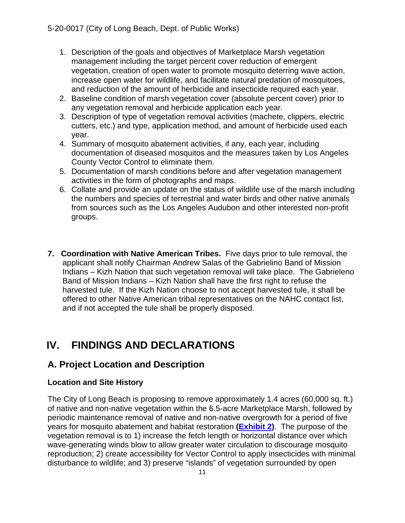- 1. Description of the goals and objectives of Marketplace Marsh vegetation management including the target percent cover reduction of emergent vegetation, creation of open water to promote mosquito deterring wave action, increase open water for wildlife, and facilitate natural predation of mosquitoes, and reduction of the amount of herbicide and insecticide required each year.
- 2. Baseline condition of marsh vegetation cover (absolute percent cover) prior to any vegetation removal and herbicide application each year.
- 3. Description of type of vegetation removal activities (machete, clippers, electric cutters, etc.) and type, application method, and amount of herbicide used each year.
- 4. Summary of mosquito abatement activities, if any, each year, including documentation of diseased mosquitos and the measures taken by Los Angeles County Vector Control to eliminate them.
- 5. Documentation of marsh conditions before and after vegetation management activities in the form of photographs and maps.
- 6. Collate and provide an update on the status of wildlife use of the marsh including the numbers and species of terrestrial and water birds and other native animals from sources such as the Los Angeles Audubon and other interested non-profit groups.
- **7. Coordination with Native American Tribes.** Five days prior to tule removal, the applicant shall notify Chairman Andrew Salas of the Gabrielino Band of Mission Indians – Kizh Nation that such vegetation removal will take place. The Gabrieleno Band of Mission Indians – Kizh Nation shall have the first right to refuse the harvested tule. If the Kizh Nation choose to not accept harvested tule, it shall be offered to other Native American tribal representatives on the NAHC contact list, and if not accepted the tule shall be properly disposed.

# <span id="page-10-0"></span>**IV. FINDINGS AND DECLARATIONS**

## <span id="page-10-1"></span>**A. Project Location and Description**

## <span id="page-10-2"></span>**Location and Site History**

The City of Long Beach is proposing to remove approximately 1.4 acres (60,000 sq. ft.) of native and non-native vegetation within the 6.5-acre Marketplace Marsh, followed by periodic maintenance removal of native and non-native overgrowth for a period of five years for mosquito abatement and habitat restoration **[\(Exhibit 2\)](https://documents.coastal.ca.gov/reports/2021/1/W24a/W24a-1-2021-exhibits.pdf)**. The purpose of the vegetation removal is to 1) increase the fetch length or horizontal distance over which wave-generating winds blow to allow greater water circulation to discourage mosquito reproduction; 2) create accessibility for Vector Control to apply insecticides with minimal disturbance to wildlife; and 3) preserve "islands" of vegetation surrounded by open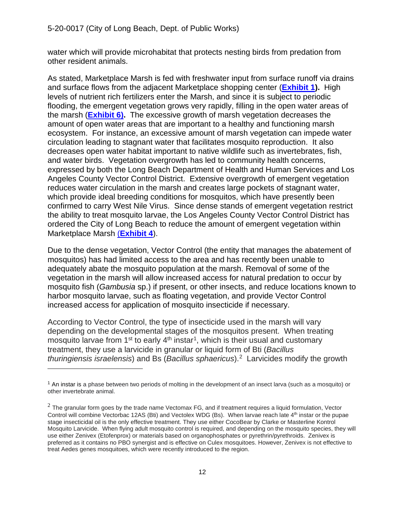water which will provide microhabitat that protects nesting birds from predation from other resident animals.

As stated, Marketplace Marsh is fed with freshwater input from surface runoff via drains and surface flows from the adjacent Marketplace shopping center (**[Exhibit 1\)](https://documents.coastal.ca.gov/reports/2021/1/W24a/W24a-1-2021-exhibits.pdf).** High levels of nutrient rich fertilizers enter the Marsh, and since it is subject to periodic flooding, the emergent vegetation grows very rapidly, filling in the open water areas of the marsh (**[Exhibit 6\).](https://documents.coastal.ca.gov/reports/2021/1/W24a/W24a-1-2021-exhibits.pdf)** The excessive growth of marsh vegetation decreases the amount of open water areas that are important to a healthy and functioning marsh ecosystem. For instance, an excessive amount of marsh vegetation can impede water circulation leading to stagnant water that facilitates mosquito reproduction. It also decreases open water habitat important to native wildlife such as invertebrates, fish, and water birds. Vegetation overgrowth has led to community health concerns, expressed by both the Long Beach Department of Health and Human Services and Los Angeles County Vector Control District. Extensive overgrowth of emergent vegetation reduces water circulation in the marsh and creates large pockets of stagnant water, which provide ideal breeding conditions for mosquitos, which have presently been confirmed to carry West Nile Virus. Since dense stands of emergent vegetation restrict the ability to treat mosquito larvae, the Los Angeles County Vector Control District has ordered the City of Long Beach to reduce the amount of emergent vegetation within Marketplace Marsh (**[Exhibit 4](https://documents.coastal.ca.gov/reports/2021/1/W24a/W24a-1-2021-exhibits.pdf)**).

Due to the dense vegetation, Vector Control (the entity that manages the abatement of mosquitos) has had limited access to the area and has recently been unable to adequately abate the mosquito population at the marsh. Removal of some of the vegetation in the marsh will allow increased access for natural predation to occur by mosquito fish (*Gambusia* sp.) if present, or other insects, and reduce locations known to harbor mosquito larvae, such as floating vegetation, and provide Vector Control increased access for application of mosquito insecticide if necessary.

According to Vector Control, the type of insecticide used in the marsh will vary depending on the developmental stages of the mosquitos present. When treating mosquito larvae from  $1^{st}$  $1^{st}$  to early  $4^{th}$  instar<sup>1</sup>, which is their usual and customary treatment, they use a larvicide in granular or liquid form of Bti (*Bacillus thuringiensis israelensis*) and Bs (*Bacillus sphaericus*).[2](#page-11-1) Larvicides modify the growth

<span id="page-11-0"></span><sup>1</sup> An instar is a phase between two periods of molting in the development of an insect larva (such as a mosquito) or other invertebrate animal.

<span id="page-11-1"></span> $2$  The granular form goes by the trade name Vectomax FG, and if treatment requires a liquid formulation, Vector Control will combine Vectorbac 12AS (Bti) and Vectolex WDG (Bs). When larvae reach late 4<sup>th</sup> instar or the pupae stage insecticidal oil is the only effective treatment. They use either CocoBear by Clarke or Masterline Kontrol Mosquito Larvicide. When flying adult mosquito control is required, and depending on the mosquito species, they will use either Zenivex (Etofenprox) or materials based on organophosphates or pyrethrin/pyrethroids. Zenivex is preferred as it contains no PBO synergist and is effective on Culex mosquitoes. However, Zenivex is not effective to treat Aedes genes mosquitoes, which were recently introduced to the region.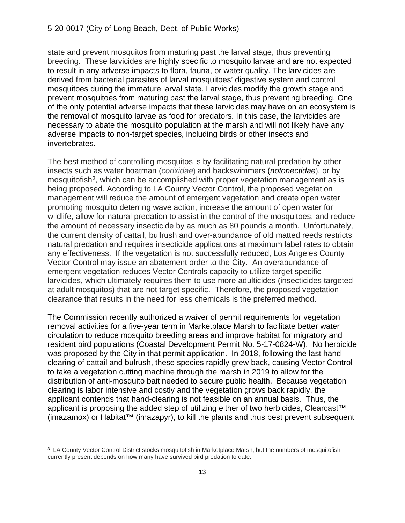state and prevent mosquitos from maturing past the larval stage, thus preventing breeding. These larvicides are highly specific to mosquito larvae and are not expected to result in any adverse impacts to flora, fauna, or water quality. The larvicides are derived from bacterial parasites of larval mosquitoes' digestive system and control mosquitoes during the immature larval state. Larvicides modify the growth stage and prevent mosquitoes from maturing past the larval stage, thus preventing breeding. One of the only potential adverse impacts that these larvicides may have on an ecosystem is the removal of mosquito larvae as food for predators. In this case, the larvicides are necessary to abate the mosquito population at the marsh and will not likely have any adverse impacts to non-target species, including birds or other insects and invertebrates.

The best method of controlling mosquitos is by facilitating natural predation by other insects such as water boatman (*corixidae*) and backswimmers (*notonectidae*), or by mosquitofish<sup>[3](#page-12-0)</sup>, which can be accomplished with proper vegetation management as is being proposed. According to LA County Vector Control, the proposed vegetation management will reduce the amount of emergent vegetation and create open water promoting mosquito deterring wave action, increase the amount of open water for wildlife, allow for natural predation to assist in the control of the mosquitoes, and reduce the amount of necessary insecticide by as much as 80 pounds a month. Unfortunately, the current density of cattail, bullrush and over-abundance of old matted reeds restricts natural predation and requires insecticide applications at maximum label rates to obtain any effectiveness. If the vegetation is not successfully reduced, Los Angeles County Vector Control may issue an abatement order to the City. An overabundance of emergent vegetation reduces Vector Controls capacity to utilize target specific larvicides, which ultimately requires them to use more adulticides (insecticides targeted at adult mosquitos) that are not target specific. Therefore, the proposed vegetation clearance that results in the need for less chemicals is the preferred method.

The Commission recently authorized a waiver of permit requirements for vegetation removal activities for a five-year term in Marketplace Marsh to facilitate better water circulation to reduce mosquito breeding areas and improve habitat for migratory and resident bird populations (Coastal Development Permit No. 5-17-0824-W). No herbicide was proposed by the City in that permit application. In 2018, following the last handclearing of cattail and bulrush, these species rapidly grew back, causing Vector Control to take a vegetation cutting machine through the marsh in 2019 to allow for the distribution of anti-mosquito bait needed to secure public health. Because vegetation clearing is labor intensive and costly and the vegetation grows back rapidly, the applicant contends that hand-clearing is not feasible on an annual basis. Thus, the applicant is proposing the added step of utilizing either of two herbicides, Clearcast<sup>™</sup> (imazamox) or Habitat™ (imazapyr), to kill the plants and thus best prevent subsequent

<span id="page-12-0"></span><sup>&</sup>lt;sup>3</sup> LA County Vector Control District stocks mosquitofish in Marketplace Marsh, but the numbers of mosquitofish currently present depends on how many have survived bird predation to date.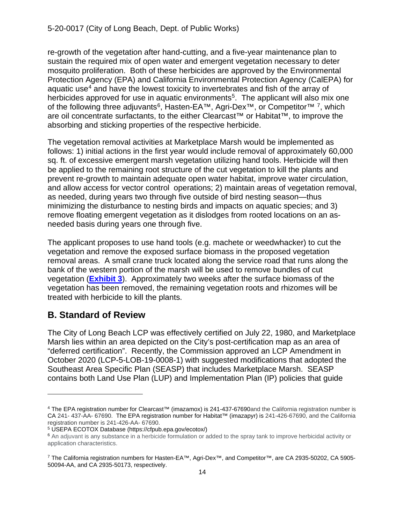re-growth of the vegetation after hand-cutting, and a five-year maintenance plan to sustain the required mix of open water and emergent vegetation necessary to deter mosquito proliferation. Both of these herbicides are approved by the Environmental Protection Agency (EPA) and California Environmental Protection Agency (CalEPA) for aquatic use<sup>[4](#page-13-1)</sup> and have the lowest toxicity to invertebrates and fish of the array of herbicides approved for use in aquatic environments<sup>[5](#page-13-2)</sup>. The applicant will also mix one of the following three adjuvants<sup>[6](#page-13-3)</sup>, Hasten-EA™, Agri-Dex<sup>™</sup>, or Competitor<sup>™ [7](#page-13-4)</sup>, which are oil concentrate surfactants, to the either Clearcast™ or Habitat™, to improve the absorbing and sticking properties of the respective herbicide.

The vegetation removal activities at Marketplace Marsh would be implemented as follows: 1) initial actions in the first year would include removal of approximately 60,000 sq. ft. of excessive emergent marsh vegetation utilizing hand tools. Herbicide will then be applied to the remaining root structure of the cut vegetation to kill the plants and prevent re-growth to maintain adequate open water habitat, improve water circulation, and allow access for vector control operations; 2) maintain areas of vegetation removal, as needed, during years two through five outside of bird nesting season—thus minimizing the disturbance to nesting birds and impacts on aquatic species; and 3) remove floating emergent vegetation as it dislodges from rooted locations on an asneeded basis during years one through five.

The applicant proposes to use hand tools (e.g. machete or weedwhacker) to cut the vegetation and remove the exposed surface biomass in the proposed vegetation removal areas. A small crane truck located along the service road that runs along the bank of the western portion of the marsh will be used to remove bundles of cut vegetation (**[Exhibit 3](https://documents.coastal.ca.gov/reports/2021/1/W24a/W24a-1-2021-exhibits.pdf)**). Approximately two weeks after the surface biomass of the vegetation has been removed, the remaining vegetation roots and rhizomes will be treated with herbicide to kill the plants.

## <span id="page-13-0"></span>**B. Standard of Review**

The City of Long Beach LCP was effectively certified on July 22, 1980, and Marketplace Marsh lies within an area depicted on the City's post-certification map as an area of "deferred certification". Recently, the Commission approved an LCP Amendment in October 2020 (LCP-5-LOB-19-0008-1) with suggested modifications that adopted the Southeast Area Specific Plan (SEASP) that includes Marketplace Marsh. SEASP contains both Land Use Plan (LUP) and Implementation Plan (IP) policies that guide

<span id="page-13-1"></span><sup>4</sup> The EPA registration number for Clearcast™ (imazamox) is 241-437-67690and the California registration number is CA 241- 437-AA- 67690. The EPA registration number for Habitat™ (imazapyr) is 241-426-67690, and the California registration number is 241-426-AA- 67690.

<span id="page-13-2"></span><sup>5</sup> USEPA ECOTOX Database (https://cfpub.epa.gov/ecotox/)

<span id="page-13-3"></span><sup>&</sup>lt;sup>6</sup> An adjuvant is any substance in a herbicide formulation or added to the spray tank to improve herbicidal activity or application characteristics.

<span id="page-13-4"></span><sup>7</sup> The California registration numbers for Hasten-EA™, Agri-Dex™, and Competitor™, are CA 2935-50202, CA 5905- 50094-AA, and CA 2935-50173, respectively.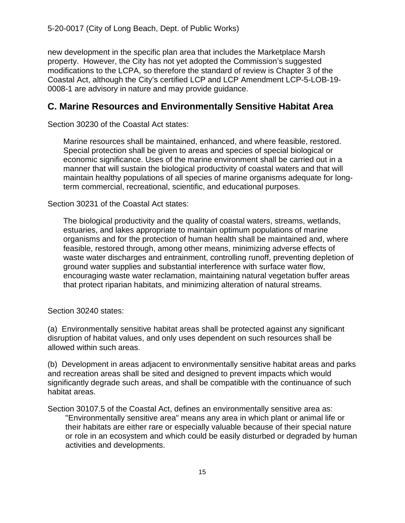new development in the specific plan area that includes the Marketplace Marsh property. However, the City has not yet adopted the Commission's suggested modifications to the LCPA, so therefore the standard of review is Chapter 3 of the Coastal Act, although the City's certified LCP and LCP Amendment LCP-5-LOB-19- 0008-1 are advisory in nature and may provide guidance.

## <span id="page-14-0"></span>**C. Marine Resources and Environmentally Sensitive Habitat Area**

Section 30230 of the Coastal Act states:

Marine resources shall be maintained, enhanced, and where feasible, restored. Special protection shall be given to areas and species of special biological or economic significance. Uses of the marine environment shall be carried out in a manner that will sustain the biological productivity of coastal waters and that will maintain healthy populations of all species of marine organisms adequate for longterm commercial, recreational, scientific, and educational purposes.

Section 30231 of the Coastal Act states:

The biological productivity and the quality of coastal waters, streams, wetlands, estuaries, and lakes appropriate to maintain optimum populations of marine organisms and for the protection of human health shall be maintained and, where feasible, restored through, among other means, minimizing adverse effects of waste water discharges and entrainment, controlling runoff, preventing depletion of ground water supplies and substantial interference with surface water flow, encouraging waste water reclamation, maintaining natural vegetation buffer areas that protect riparian habitats, and minimizing alteration of natural streams.

Section 30240 states:

(a) Environmentally sensitive habitat areas shall be protected against any significant disruption of habitat values, and only uses dependent on such resources shall be allowed within such areas.

(b) Development in areas adjacent to environmentally sensitive habitat areas and parks and recreation areas shall be sited and designed to prevent impacts which would significantly degrade such areas, and shall be compatible with the continuance of such habitat areas.

Section 30107.5 of the Coastal Act, defines an environmentally sensitive area as: "Environmentally sensitive area" means any area in which plant or animal life or their habitats are either rare or especially valuable because of their special nature or role in an ecosystem and which could be easily disturbed or degraded by human activities and developments.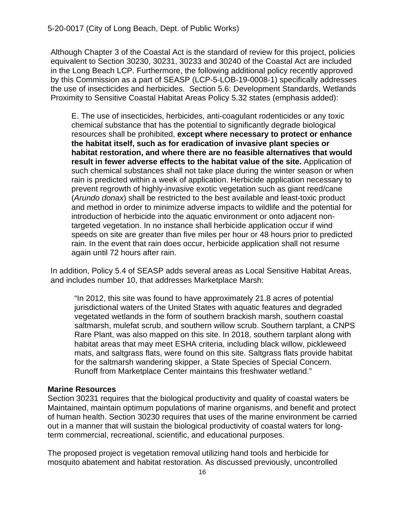Although Chapter 3 of the Coastal Act is the standard of review for this project, policies equivalent to Section 30230, 30231, 30233 and 30240 of the Coastal Act are included in the Long Beach LCP. Furthermore, the following additional policy recently approved by this Commission as a part of SEASP (LCP-5-LOB-19-0008-1) specifically addresses the use of insecticides and herbicides. Section 5.6: Development Standards, Wetlands Proximity to Sensitive Coastal Habitat Areas Policy 5.32 states (emphasis added):

E. The use of insecticides, herbicides, anti-coagulant rodenticides or any toxic chemical substance that has the potential to significantly degrade biological resources shall be prohibited, **except where necessary to protect or enhance the habitat itself, such as for eradication of invasive plant species or habitat restoration, and where there are no feasible alternatives that would result in fewer adverse effects to the habitat value of the site.** Application of such chemical substances shall not take place during the winter season or when rain is predicted within a week of application. Herbicide application necessary to prevent regrowth of highly-invasive exotic vegetation such as giant reed/cane (*Arundo donax*) shall be restricted to the best available and least-toxic product and method in order to minimize adverse impacts to wildlife and the potential for introduction of herbicide into the aquatic environment or onto adjacent nontargeted vegetation. In no instance shall herbicide application occur if wind speeds on site are greater than five miles per hour or 48 hours prior to predicted rain. In the event that rain does occur, herbicide application shall not resume again until 72 hours after rain.

In addition, Policy 5.4 of SEASP adds several areas as Local Sensitive Habitat Areas, and includes number 10, that addresses Marketplace Marsh:

"In 2012, this site was found to have approximately 21.8 acres of potential jurisdictional waters of the United States with aquatic features and degraded vegetated wetlands in the form of southern brackish marsh, southern coastal saltmarsh, mulefat scrub, and southern willow scrub. Southern tarplant, a CNPS Rare Plant, was also mapped on this site. In 2018, southern tarplant along with habitat areas that may meet ESHA criteria, including black willow, pickleweed mats, and saltgrass flats, were found on this site. Saltgrass flats provide habitat for the saltmarsh wandering skipper, a State Species of Special Concern. Runoff from Marketplace Center maintains this freshwater wetland."

#### **Marine Resources**

Section 30231 requires that the biological productivity and quality of coastal waters be Maintained, maintain optimum populations of marine organisms, and benefit and protect of human health. Section 30230 requires that uses of the marine environment be carried out in a manner that will sustain the biological productivity of coastal waters for longterm commercial, recreational, scientific, and educational purposes.

The proposed project is vegetation removal utilizing hand tools and herbicide for mosquito abatement and habitat restoration. As discussed previously, uncontrolled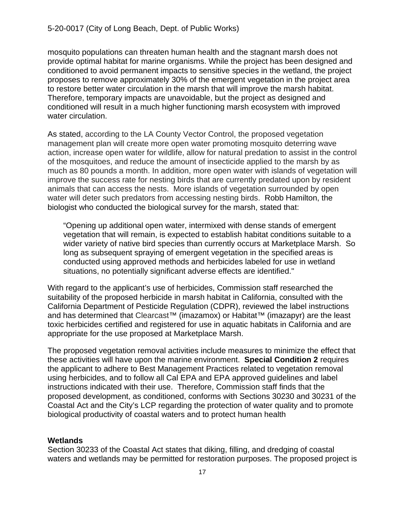mosquito populations can threaten human health and the stagnant marsh does not provide optimal habitat for marine organisms. While the project has been designed and conditioned to avoid permanent impacts to sensitive species in the wetland, the project proposes to remove approximately 30% of the emergent vegetation in the project area to restore better water circulation in the marsh that will improve the marsh habitat. Therefore, temporary impacts are unavoidable, but the project as designed and conditioned will result in a much higher functioning marsh ecosystem with improved water circulation.

As stated, according to the LA County Vector Control, the proposed vegetation management plan will create more open water promoting mosquito deterring wave action, increase open water for wildlife, allow for natural predation to assist in the control of the mosquitoes, and reduce the amount of insecticide applied to the marsh by as much as 80 pounds a month. In addition, more open water with islands of vegetation will improve the success rate for nesting birds that are currently predated upon by resident animals that can access the nests. More islands of vegetation surrounded by open water will deter such predators from accessing nesting birds. Robb Hamilton, the biologist who conducted the biological survey for the marsh, stated that:

"Opening up additional open water, intermixed with dense stands of emergent vegetation that will remain, is expected to establish habitat conditions suitable to a wider variety of native bird species than currently occurs at Marketplace Marsh. So long as subsequent spraying of emergent vegetation in the specified areas is conducted using approved methods and herbicides labeled for use in wetland situations, no potentially significant adverse effects are identified."

With regard to the applicant's use of herbicides, Commission staff researched the suitability of the proposed herbicide in marsh habitat in California, consulted with the California Department of Pesticide Regulation (CDPR), reviewed the label instructions and has determined that Clearcast™ (imazamox) or Habitat™ (imazapyr) are the least toxic herbicides certified and registered for use in aquatic habitats in California and are appropriate for the use proposed at Marketplace Marsh.

The proposed vegetation removal activities include measures to minimize the effect that these activities will have upon the marine environment. **Special Condition 2** requires the applicant to adhere to Best Management Practices related to vegetation removal using herbicides, and to follow all Cal EPA and EPA approved guidelines and label instructions indicated with their use. Therefore, Commission staff finds that the proposed development, as conditioned, conforms with Sections 30230 and 30231 of the Coastal Act and the City's LCP regarding the protection of water quality and to promote biological productivity of coastal waters and to protect human health

#### **Wetlands**

Section 30233 of the Coastal Act states that diking, filling, and dredging of coastal waters and wetlands may be permitted for restoration purposes. The proposed project is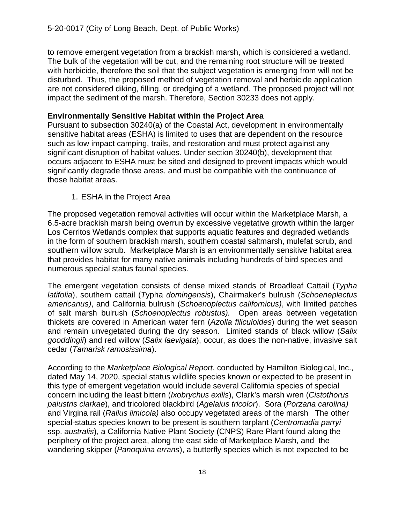to remove emergent vegetation from a brackish marsh, which is considered a wetland. The bulk of the vegetation will be cut, and the remaining root structure will be treated with herbicide, therefore the soil that the subject vegetation is emerging from will not be disturbed. Thus, the proposed method of vegetation removal and herbicide application are not considered diking, filling, or dredging of a wetland. The proposed project will not impact the sediment of the marsh. Therefore, Section 30233 does not apply.

## **Environmentally Sensitive Habitat within the Project Area**

Pursuant to subsection 30240(a) of the Coastal Act, development in environmentally sensitive habitat areas (ESHA) is limited to uses that are dependent on the resource such as low impact camping, trails, and restoration and must protect against any significant disruption of habitat values. Under section 30240(b), development that occurs adjacent to ESHA must be sited and designed to prevent impacts which would significantly degrade those areas, and must be compatible with the continuance of those habitat areas.

1. ESHA in the Project Area

The proposed vegetation removal activities will occur within the Marketplace Marsh, a 6.5-acre brackish marsh being overrun by excessive vegetative growth within the larger Los Cerritos Wetlands complex that supports aquatic features and degraded wetlands in the form of southern brackish marsh, southern coastal saltmarsh, mulefat scrub, and southern willow scrub. Marketplace Marsh is an environmentally sensitive habitat area that provides habitat for many native animals including hundreds of bird species and numerous special status faunal species.

The emergent vegetation consists of dense mixed stands of Broadleaf Cattail (*Typha latifolia*), southern cattail (*T*ypha *domingensis*), Chairmaker's bulrush (*Schoeneplectus americanus)*, and California bulrush (*Schoenoplectus californicus)*, with limited patches of salt marsh bulrush (*Schoenoplectus robustus).* Open areas between vegetation thickets are covered in American water fern (*Azolla filiculoides*) during the wet season and remain unvegetated during the dry season. Limited stands of black willow (*Salix gooddingii*) and red willow (*Salix laevigata*), occur, as does the non-native, invasive salt cedar (*Tamarisk ramosissima*).

According to the *Marketplace Biological Report*, conducted by Hamilton Biological, Inc., dated May 14, 2020, special status wildlife species known or expected to be present in this type of emergent vegetation would include several California species of special concern including the least bittern (*Ixobrychus exilis*), Clark's marsh wren (*Cistothorus palustris clarkae*), and tricolored blackbird (*Agelaius tricolor*). Sora (*Porzana carolina)*  and Virgina rail (*Rallus limicola)* also occupy vegetated areas of the marsh The other special-status species known to be present is southern tarplant (*Centromadia parryi* ssp. *australis*), a California Native Plant Society (CNPS) Rare Plant found along the periphery of the project area, along the east side of Marketplace Marsh, and the wandering skipper (*Panoquina errans*), a butterfly species which is not expected to be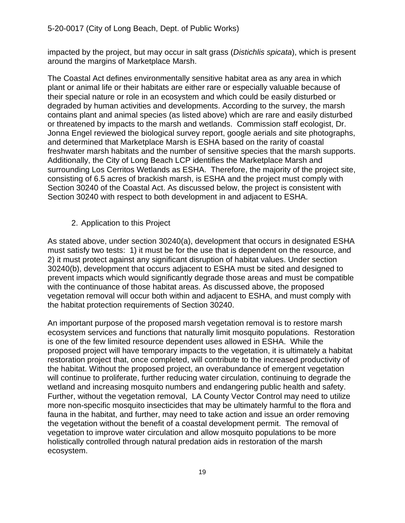impacted by the project, but may occur in salt grass (*Distichlis spicata*), which is present around the margins of Marketplace Marsh.

The Coastal Act defines environmentally sensitive habitat area as any area in which plant or animal life or their habitats are either rare or especially valuable because of their special nature or role in an ecosystem and which could be easily disturbed or degraded by human activities and developments. According to the survey, the marsh contains plant and animal species (as listed above) which are rare and easily disturbed or threatened by impacts to the marsh and wetlands. Commission staff ecologist, Dr. Jonna Engel reviewed the biological survey report, google aerials and site photographs, and determined that Marketplace Marsh is ESHA based on the rarity of coastal freshwater marsh habitats and the number of sensitive species that the marsh supports. Additionally, the City of Long Beach LCP identifies the Marketplace Marsh and surrounding Los Cerritos Wetlands as ESHA. Therefore, the majority of the project site, consisting of 6.5 acres of brackish marsh, is ESHA and the project must comply with Section 30240 of the Coastal Act. As discussed below, the project is consistent with Section 30240 with respect to both development in and adjacent to ESHA.

2. Application to this Project

As stated above, under section 30240(a), development that occurs in designated ESHA must satisfy two tests: 1) it must be for the use that is dependent on the resource, and 2) it must protect against any significant disruption of habitat values. Under section 30240(b), development that occurs adjacent to ESHA must be sited and designed to prevent impacts which would significantly degrade those areas and must be compatible with the continuance of those habitat areas. As discussed above, the proposed vegetation removal will occur both within and adjacent to ESHA, and must comply with the habitat protection requirements of Section 30240.

An important purpose of the proposed marsh vegetation removal is to restore marsh ecosystem services and functions that naturally limit mosquito populations. Restoration is one of the few limited resource dependent uses allowed in ESHA. While the proposed project will have temporary impacts to the vegetation, it is ultimately a habitat restoration project that, once completed, will contribute to the increased productivity of the habitat. Without the proposed project, an overabundance of emergent vegetation will continue to proliferate, further reducing water circulation, continuing to degrade the wetland and increasing mosquito numbers and endangering public health and safety. Further, without the vegetation removal, LA County Vector Control may need to utilize more non-specific mosquito insecticides that may be ultimately harmful to the flora and fauna in the habitat, and further, may need to take action and issue an order removing the vegetation without the benefit of a coastal development permit. The removal of vegetation to improve water circulation and allow mosquito populations to be more holistically controlled through natural predation aids in restoration of the marsh ecosystem.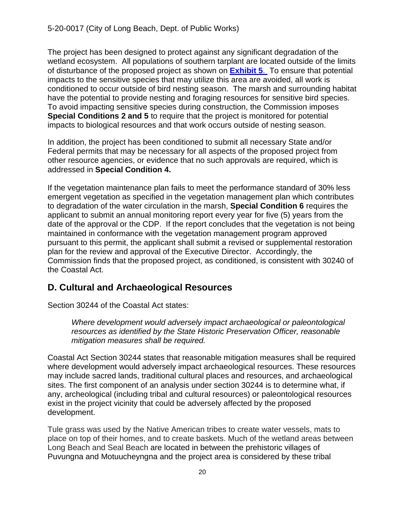The project has been designed to protect against any significant degradation of the wetland ecosystem. All populations of southern tarplant are located outside of the limits of disturbance of the proposed project as shown on **[Exhibit 5](https://documents.coastal.ca.gov/reports/2021/1/W24a/W24a-1-2021-exhibits.pdf)**. To ensure that potential impacts to the sensitive species that may utilize this area are avoided, all work is conditioned to occur outside of bird nesting season. The marsh and surrounding habitat have the potential to provide nesting and foraging resources for sensitive bird species. To avoid impacting sensitive species during construction, the Commission imposes **Special Conditions 2 and 5** to require that the project is monitored for potential impacts to biological resources and that work occurs outside of nesting season.

In addition, the project has been conditioned to submit all necessary State and/or Federal permits that may be necessary for all aspects of the proposed project from other resource agencies, or evidence that no such approvals are required, which is addressed in **Special Condition 4.**

If the vegetation maintenance plan fails to meet the performance standard of 30% less emergent vegetation as specified in the vegetation management plan which contributes to degradation of the water circulation in the marsh, **Special Condition 6** requires the applicant to submit an annual monitoring report every year for five (5) years from the date of the approval or the CDP. If the report concludes that the vegetation is not being maintained in conformance with the vegetation management program approved pursuant to this permit, the applicant shall submit a revised or supplemental restoration plan for the review and approval of the Executive Director. Accordingly, the Commission finds that the proposed project, as conditioned, is consistent with 30240 of the Coastal Act.

## <span id="page-19-0"></span>**D. Cultural and Archaeological Resources**

Section 30244 of the Coastal Act states:

*Where development would adversely impact archaeological or paleontological resources as identified by the State Historic Preservation Officer, reasonable mitigation measures shall be required.*

Coastal Act Section 30244 states that reasonable mitigation measures shall be required where development would adversely impact archaeological resources. These resources may include sacred lands, traditional cultural places and resources, and archaeological sites. The first component of an analysis under section 30244 is to determine what, if any, archeological (including tribal and cultural resources) or paleontological resources exist in the project vicinity that could be adversely affected by the proposed development.

Tule grass was used by the Native American tribes to create water vessels, mats to place on top of their homes, and to create baskets. Much of the wetland areas between Long Beach and Seal Beach are located in between the prehistoric villages of Puvungna and Motuucheyngna and the project area is considered by these tribal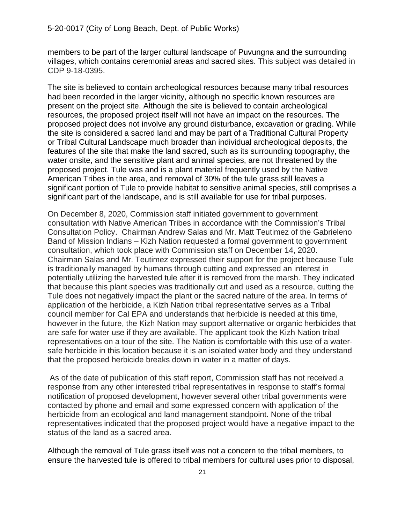members to be part of the larger cultural landscape of Puvungna and the surrounding villages, which contains ceremonial areas and sacred sites. This subject was detailed in CDP 9-18-0395.

The site is believed to contain archeological resources because many tribal resources had been recorded in the larger vicinity, although no specific known resources are present on the project site. Although the site is believed to contain archeological resources, the proposed project itself will not have an impact on the resources. The proposed project does not involve any ground disturbance, excavation or grading. While the site is considered a sacred land and may be part of a Traditional Cultural Property or Tribal Cultural Landscape much broader than individual archeological deposits, the features of the site that make the land sacred, such as its surrounding topography, the water onsite, and the sensitive plant and animal species, are not threatened by the proposed project. Tule was and is a plant material frequently used by the Native American Tribes in the area, and removal of 30% of the tule grass still leaves a significant portion of Tule to provide habitat to sensitive animal species, still comprises a significant part of the landscape, and is still available for use for tribal purposes.

On December 8, 2020, Commission staff initiated government to government consultation with Native American Tribes in accordance with the Commission's Tribal Consultation Policy. Chairman Andrew Salas and Mr. Matt Teutimez of the Gabrieleno Band of Mission Indians – Kizh Nation requested a formal government to government consultation, which took place with Commission staff on December 14, 2020. Chairman Salas and Mr. Teutimez expressed their support for the project because Tule is traditionally managed by humans through cutting and expressed an interest in potentially utilizing the harvested tule after it is removed from the marsh. They indicated that because this plant species was traditionally cut and used as a resource, cutting the Tule does not negatively impact the plant or the sacred nature of the area. In terms of application of the herbicide, a Kizh Nation tribal representative serves as a Tribal council member for Cal EPA and understands that herbicide is needed at this time, however in the future, the Kizh Nation may support alternative or organic herbicides that are safe for water use if they are available. The applicant took the Kizh Nation tribal representatives on a tour of the site. The Nation is comfortable with this use of a watersafe herbicide in this location because it is an isolated water body and they understand that the proposed herbicide breaks down in water in a matter of days.

As of the date of publication of this staff report, Commission staff has not received a response from any other interested tribal representatives in response to staff's formal notification of proposed development, however several other tribal governments were contacted by phone and email and some expressed concern with application of the herbicide from an ecological and land management standpoint. None of the tribal representatives indicated that the proposed project would have a negative impact to the status of the land as a sacred area.

Although the removal of Tule grass itself was not a concern to the tribal members, to ensure the harvested tule is offered to tribal members for cultural uses prior to disposal,